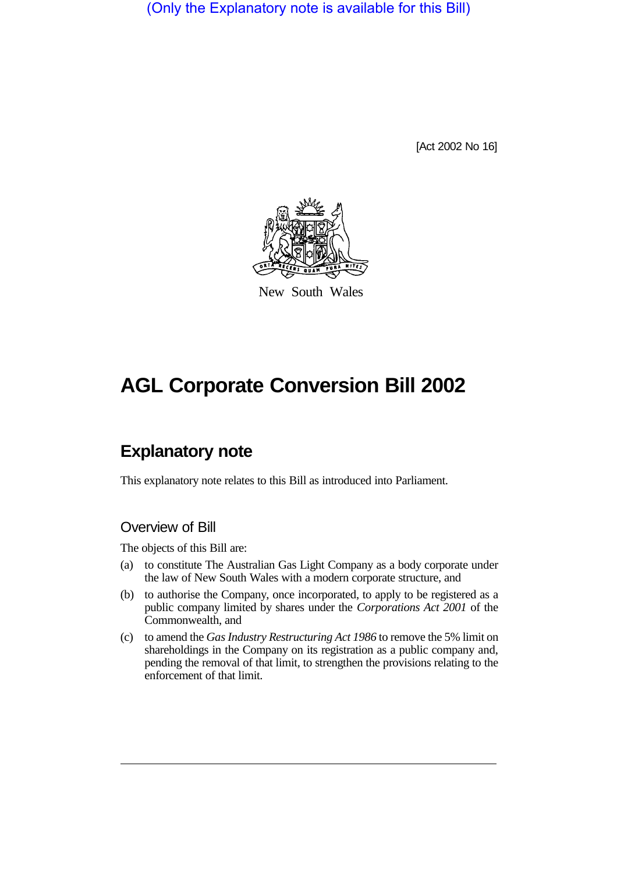(Only the Explanatory note is available for this Bill)

[Act 2002 No 16]



New South Wales

# **AGL Corporate Conversion Bill 2002**

# **Explanatory note**

This explanatory note relates to this Bill as introduced into Parliament.

## Overview of Bill

The objects of this Bill are:

- (a) to constitute The Australian Gas Light Company as a body corporate under the law of New South Wales with a modern corporate structure, and
- (b) to authorise the Company, once incorporated, to apply to be registered as a public company limited by shares under the *Corporations Act 2001* of the Commonwealth, and
- (c) to amend the *Gas Industry Restructuring Act 1986* to remove the 5% limit on shareholdings in the Company on its registration as a public company and, pending the removal of that limit, to strengthen the provisions relating to the enforcement of that limit.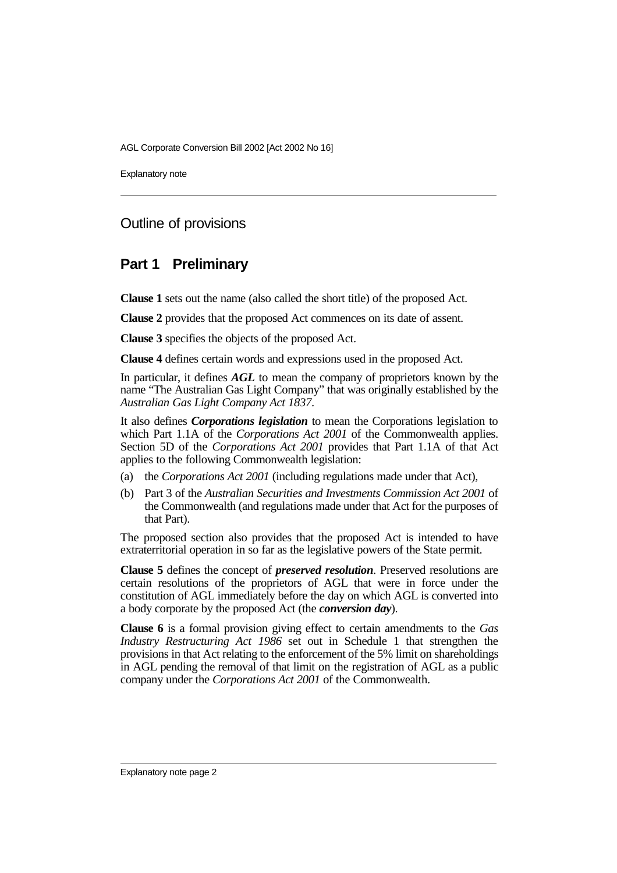Explanatory note

## Outline of provisions

## **Part 1 Preliminary**

**Clause 1** sets out the name (also called the short title) of the proposed Act.

**Clause 2** provides that the proposed Act commences on its date of assent.

**Clause 3** specifies the objects of the proposed Act.

**Clause 4** defines certain words and expressions used in the proposed Act.

In particular, it defines *AGL* to mean the company of proprietors known by the name "The Australian Gas Light Company" that was originally established by the *Australian Gas Light Company Act 1837*.

It also defines *Corporations legislation* to mean the Corporations legislation to which Part 1.1A of the *Corporations Act 2001* of the Commonwealth applies. Section 5D of the *Corporations Act 2001* provides that Part 1.1A of that Act applies to the following Commonwealth legislation:

- (a) the *Corporations Act 2001* (including regulations made under that Act),
- (b) Part 3 of the *Australian Securities and Investments Commission Act 2001* of the Commonwealth (and regulations made under that Act for the purposes of that Part).

The proposed section also provides that the proposed Act is intended to have extraterritorial operation in so far as the legislative powers of the State permit.

**Clause 5** defines the concept of *preserved resolution*. Preserved resolutions are certain resolutions of the proprietors of AGL that were in force under the constitution of AGL immediately before the day on which AGL is converted into a body corporate by the proposed Act (the *conversion day*).

**Clause 6** is a formal provision giving effect to certain amendments to the *Gas Industry Restructuring Act 1986* set out in Schedule 1 that strengthen the provisions in that Act relating to the enforcement of the 5% limit on shareholdings in AGL pending the removal of that limit on the registration of AGL as a public company under the *Corporations Act 2001* of the Commonwealth.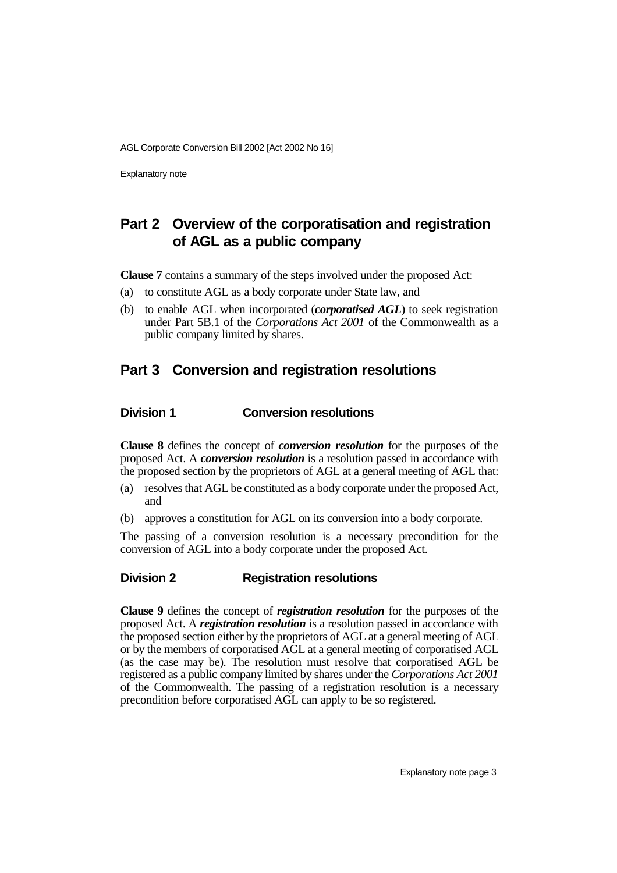Explanatory note

# **Part 2 Overview of the corporatisation and registration of AGL as a public company**

**Clause 7** contains a summary of the steps involved under the proposed Act:

- (a) to constitute AGL as a body corporate under State law, and
- (b) to enable AGL when incorporated (*corporatised AGL*) to seek registration under Part 5B.1 of the *Corporations Act 2001* of the Commonwealth as a public company limited by shares.

# **Part 3 Conversion and registration resolutions**

#### **Division 1 Conversion resolutions**

**Clause 8** defines the concept of *conversion resolution* for the purposes of the proposed Act. A *conversion resolution* is a resolution passed in accordance with the proposed section by the proprietors of AGL at a general meeting of AGL that:

- (a) resolves that AGL be constituted as a body corporate under the proposed Act, and
- (b) approves a constitution for AGL on its conversion into a body corporate.

The passing of a conversion resolution is a necessary precondition for the conversion of AGL into a body corporate under the proposed Act.

#### **Division 2 Registration resolutions**

**Clause 9** defines the concept of *registration resolution* for the purposes of the proposed Act. A *registration resolution* is a resolution passed in accordance with the proposed section either by the proprietors of AGL at a general meeting of AGL or by the members of corporatised AGL at a general meeting of corporatised AGL (as the case may be). The resolution must resolve that corporatised AGL be registered as a public company limited by shares under the *Corporations Act 2001* of the Commonwealth. The passing of a registration resolution is a necessary precondition before corporatised AGL can apply to be so registered.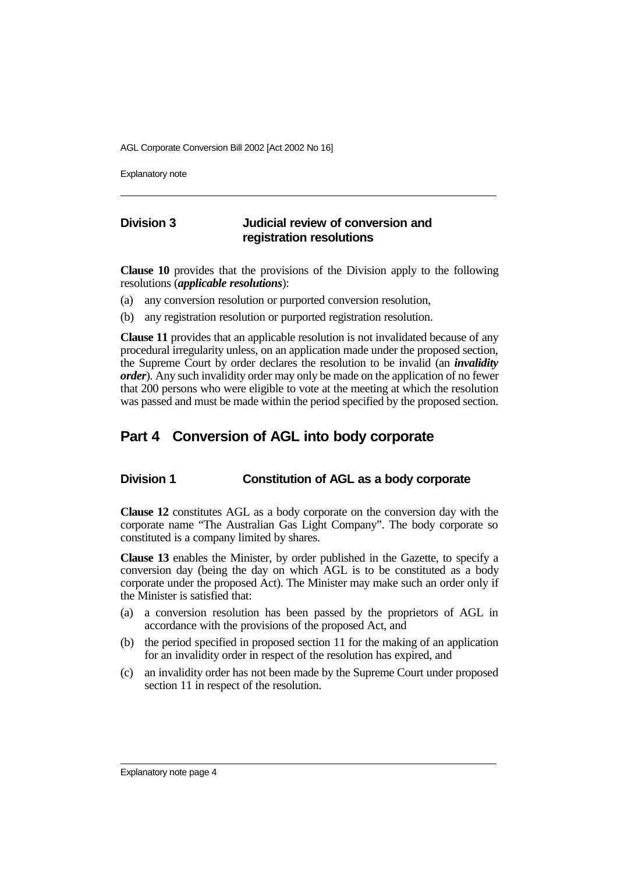Explanatory note

### **Division 3 Judicial review of conversion and registration resolutions**

**Clause 10** provides that the provisions of the Division apply to the following resolutions (*applicable resolutions*):

- (a) any conversion resolution or purported conversion resolution,
- (b) any registration resolution or purported registration resolution.

**Clause 11** provides that an applicable resolution is not invalidated because of any procedural irregularity unless, on an application made under the proposed section, the Supreme Court by order declares the resolution to be invalid (an *invalidity order*). Any such invalidity order may only be made on the application of no fewer that 200 persons who were eligible to vote at the meeting at which the resolution was passed and must be made within the period specified by the proposed section.

## **Part 4 Conversion of AGL into body corporate**

#### **Division 1 Constitution of AGL as a body corporate**

**Clause 12** constitutes AGL as a body corporate on the conversion day with the corporate name "The Australian Gas Light Company". The body corporate so constituted is a company limited by shares.

**Clause 13** enables the Minister, by order published in the Gazette, to specify a conversion day (being the day on which AGL is to be constituted as a body corporate under the proposed Act). The Minister may make such an order only if the Minister is satisfied that:

- (a) a conversion resolution has been passed by the proprietors of AGL in accordance with the provisions of the proposed Act, and
- (b) the period specified in proposed section 11 for the making of an application for an invalidity order in respect of the resolution has expired, and
- (c) an invalidity order has not been made by the Supreme Court under proposed section 11 in respect of the resolution.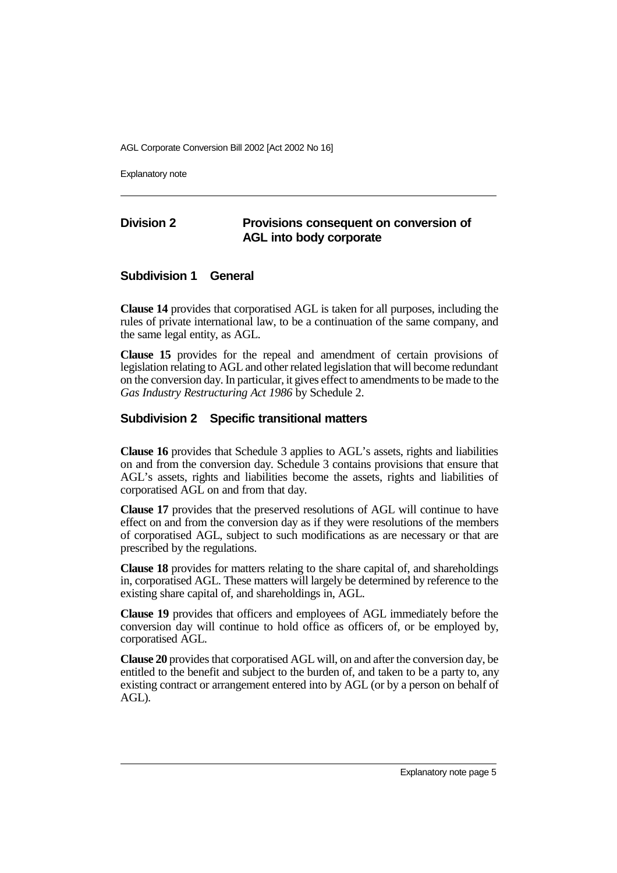Explanatory note

### **Division 2 Provisions consequent on conversion of AGL into body corporate**

#### **Subdivision 1 General**

**Clause 14** provides that corporatised AGL is taken for all purposes, including the rules of private international law, to be a continuation of the same company, and the same legal entity, as AGL.

**Clause 15** provides for the repeal and amendment of certain provisions of legislation relating to AGL and other related legislation that will become redundant on the conversion day. In particular, it gives effect to amendments to be made to the *Gas Industry Restructuring Act 1986* by Schedule 2.

#### **Subdivision 2 Specific transitional matters**

**Clause 16** provides that Schedule 3 applies to AGL's assets, rights and liabilities on and from the conversion day. Schedule 3 contains provisions that ensure that AGL's assets, rights and liabilities become the assets, rights and liabilities of corporatised AGL on and from that day.

**Clause 17** provides that the preserved resolutions of AGL will continue to have effect on and from the conversion day as if they were resolutions of the members of corporatised AGL, subject to such modifications as are necessary or that are prescribed by the regulations.

**Clause 18** provides for matters relating to the share capital of, and shareholdings in, corporatised AGL. These matters will largely be determined by reference to the existing share capital of, and shareholdings in, AGL.

**Clause 19** provides that officers and employees of AGL immediately before the conversion day will continue to hold office as officers of, or be employed by, corporatised AGL.

**Clause 20** provides that corporatised AGL will, on and after the conversion day, be entitled to the benefit and subject to the burden of, and taken to be a party to, any existing contract or arrangement entered into by AGL (or by a person on behalf of AGL).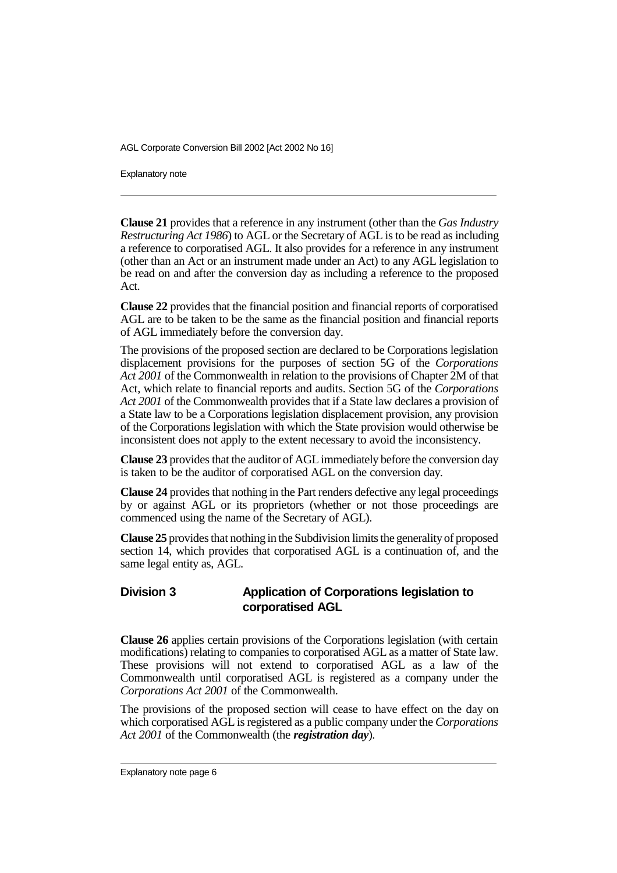Explanatory note

**Clause 21** provides that a reference in any instrument (other than the *Gas Industry Restructuring Act 1986*) to AGL or the Secretary of AGL is to be read as including a reference to corporatised AGL. It also provides for a reference in any instrument (other than an Act or an instrument made under an Act) to any AGL legislation to be read on and after the conversion day as including a reference to the proposed Act.

**Clause 22** provides that the financial position and financial reports of corporatised AGL are to be taken to be the same as the financial position and financial reports of AGL immediately before the conversion day.

The provisions of the proposed section are declared to be Corporations legislation displacement provisions for the purposes of section 5G of the *Corporations Act 2001* of the Commonwealth in relation to the provisions of Chapter 2M of that Act, which relate to financial reports and audits. Section 5G of the *Corporations Act 2001* of the Commonwealth provides that if a State law declares a provision of a State law to be a Corporations legislation displacement provision, any provision of the Corporations legislation with which the State provision would otherwise be inconsistent does not apply to the extent necessary to avoid the inconsistency.

**Clause 23** provides that the auditor of AGL immediately before the conversion day is taken to be the auditor of corporatised AGL on the conversion day.

**Clause 24** provides that nothing in the Part renders defective any legal proceedings by or against AGL or its proprietors (whether or not those proceedings are commenced using the name of the Secretary of AGL).

**Clause 25** provides that nothing in the Subdivision limits the generality of proposed section 14, which provides that corporatised AGL is a continuation of, and the same legal entity as, AGL.

#### **Division 3 Application of Corporations legislation to corporatised AGL**

**Clause 26** applies certain provisions of the Corporations legislation (with certain modifications) relating to companies to corporatised AGL as a matter of State law. These provisions will not extend to corporatised AGL as a law of the Commonwealth until corporatised AGL is registered as a company under the *Corporations Act 2001* of the Commonwealth.

The provisions of the proposed section will cease to have effect on the day on which corporatised AGL is registered as a public company under the *Corporations Act 2001* of the Commonwealth (the *registration day*).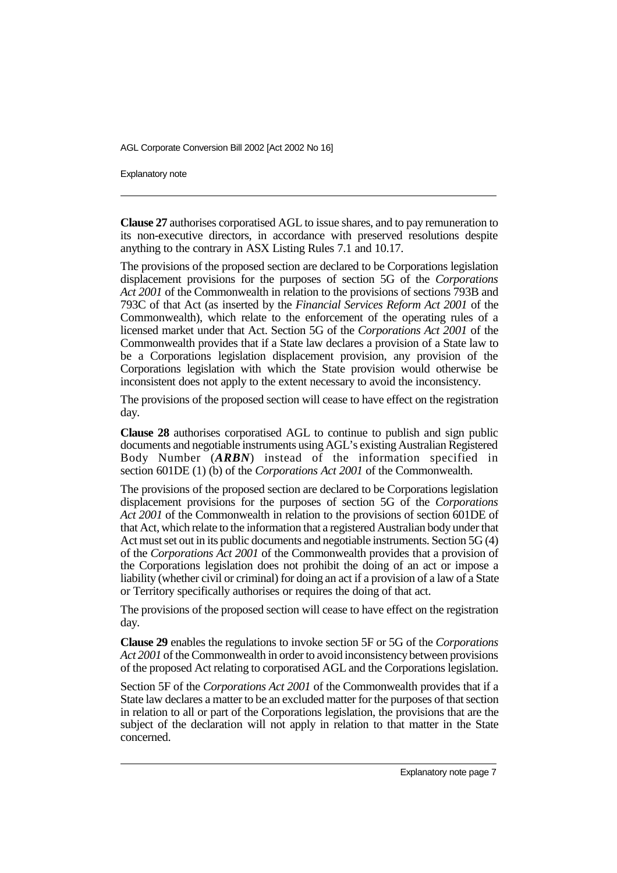Explanatory note

**Clause 27** authorises corporatised AGL to issue shares, and to pay remuneration to its non-executive directors, in accordance with preserved resolutions despite anything to the contrary in ASX Listing Rules 7.1 and 10.17.

The provisions of the proposed section are declared to be Corporations legislation displacement provisions for the purposes of section 5G of the *Corporations Act 2001* of the Commonwealth in relation to the provisions of sections 793B and 793C of that Act (as inserted by the *Financial Services Reform Act 2001* of the Commonwealth), which relate to the enforcement of the operating rules of a licensed market under that Act. Section 5G of the *Corporations Act 2001* of the Commonwealth provides that if a State law declares a provision of a State law to be a Corporations legislation displacement provision, any provision of the Corporations legislation with which the State provision would otherwise be inconsistent does not apply to the extent necessary to avoid the inconsistency.

The provisions of the proposed section will cease to have effect on the registration day.

**Clause 28** authorises corporatised AGL to continue to publish and sign public documents and negotiable instruments using AGL's existing Australian Registered Body Number (*ARBN*) instead of the information specified in section 601DE (1) (b) of the *Corporations Act 2001* of the Commonwealth.

The provisions of the proposed section are declared to be Corporations legislation displacement provisions for the purposes of section 5G of the *Corporations Act 2001* of the Commonwealth in relation to the provisions of section 601DE of that Act, which relate to the information that a registered Australian body under that Act must set out in its public documents and negotiable instruments. Section 5G (4) of the *Corporations Act 2001* of the Commonwealth provides that a provision of the Corporations legislation does not prohibit the doing of an act or impose a liability (whether civil or criminal) for doing an act if a provision of a law of a State or Territory specifically authorises or requires the doing of that act.

The provisions of the proposed section will cease to have effect on the registration day.

**Clause 29** enables the regulations to invoke section 5F or 5G of the *Corporations Act 2001* of the Commonwealth in order to avoid inconsistency between provisions of the proposed Act relating to corporatised AGL and the Corporations legislation.

Section 5F of the *Corporations Act 2001* of the Commonwealth provides that if a State law declares a matter to be an excluded matter for the purposes of that section in relation to all or part of the Corporations legislation, the provisions that are the subject of the declaration will not apply in relation to that matter in the State concerned.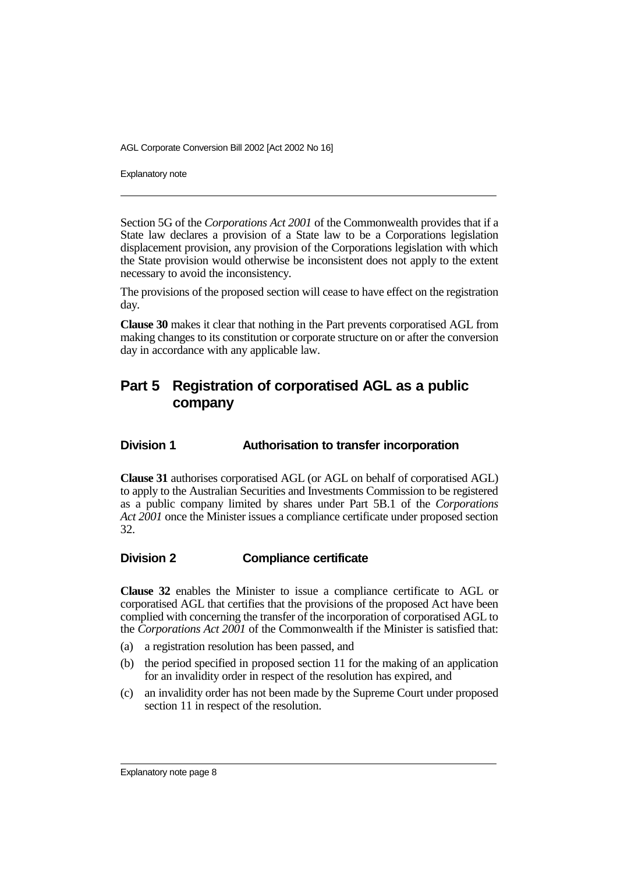Explanatory note

Section 5G of the *Corporations Act 2001* of the Commonwealth provides that if a State law declares a provision of a State law to be a Corporations legislation displacement provision, any provision of the Corporations legislation with which the State provision would otherwise be inconsistent does not apply to the extent necessary to avoid the inconsistency.

The provisions of the proposed section will cease to have effect on the registration day.

**Clause 30** makes it clear that nothing in the Part prevents corporatised AGL from making changes to its constitution or corporate structure on or after the conversion day in accordance with any applicable law.

# **Part 5 Registration of corporatised AGL as a public company**

#### **Division 1 Authorisation to transfer incorporation**

**Clause 31** authorises corporatised AGL (or AGL on behalf of corporatised AGL) to apply to the Australian Securities and Investments Commission to be registered as a public company limited by shares under Part 5B.1 of the *Corporations Act 2001* once the Minister issues a compliance certificate under proposed section 32.

#### **Division 2 Compliance certificate**

**Clause 32** enables the Minister to issue a compliance certificate to AGL or corporatised AGL that certifies that the provisions of the proposed Act have been complied with concerning the transfer of the incorporation of corporatised AGL to the *Corporations Act 2001* of the Commonwealth if the Minister is satisfied that:

- (a) a registration resolution has been passed, and
- (b) the period specified in proposed section 11 for the making of an application for an invalidity order in respect of the resolution has expired, and
- (c) an invalidity order has not been made by the Supreme Court under proposed section 11 in respect of the resolution.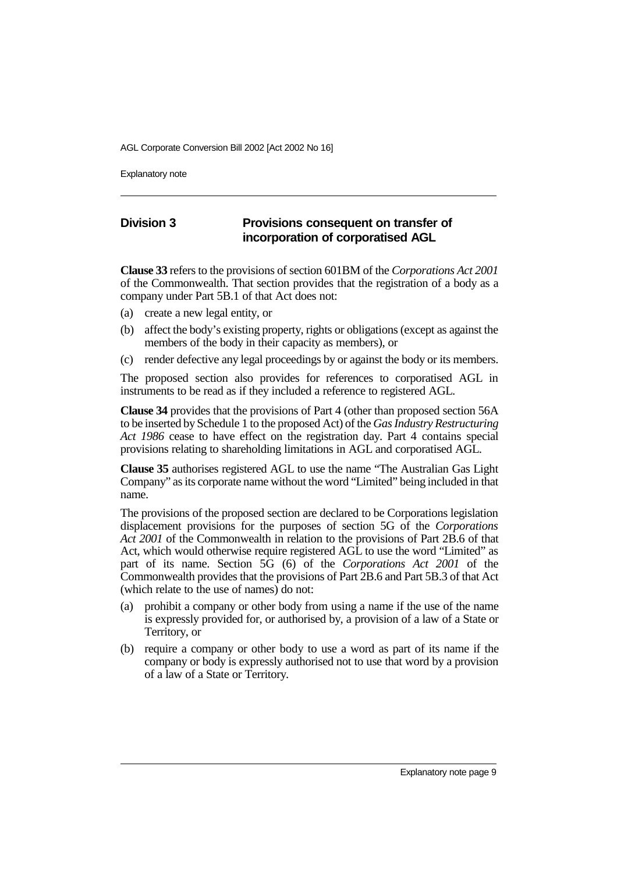Explanatory note

#### **Division 3 Provisions consequent on transfer of incorporation of corporatised AGL**

**Clause 33** refers to the provisions of section 601BM of the *Corporations Act 2001* of the Commonwealth. That section provides that the registration of a body as a company under Part 5B.1 of that Act does not:

- (a) create a new legal entity, or
- (b) affect the body's existing property, rights or obligations (except as against the members of the body in their capacity as members), or
- (c) render defective any legal proceedings by or against the body or its members.

The proposed section also provides for references to corporatised AGL in instruments to be read as if they included a reference to registered AGL.

**Clause 34** provides that the provisions of Part 4 (other than proposed section 56A to be inserted by Schedule 1 to the proposed Act) of the *Gas Industry Restructuring Act 1986* cease to have effect on the registration day. Part 4 contains special provisions relating to shareholding limitations in AGL and corporatised AGL.

**Clause 35** authorises registered AGL to use the name "The Australian Gas Light Company" as its corporate name without the word "Limited" being included in that name.

The provisions of the proposed section are declared to be Corporations legislation displacement provisions for the purposes of section 5G of the *Corporations Act 2001* of the Commonwealth in relation to the provisions of Part 2B.6 of that Act, which would otherwise require registered AGL to use the word "Limited" as part of its name. Section 5G (6) of the *Corporations Act 2001* of the Commonwealth provides that the provisions of Part 2B.6 and Part 5B.3 of that Act (which relate to the use of names) do not:

- (a) prohibit a company or other body from using a name if the use of the name is expressly provided for, or authorised by, a provision of a law of a State or Territory, or
- (b) require a company or other body to use a word as part of its name if the company or body is expressly authorised not to use that word by a provision of a law of a State or Territory.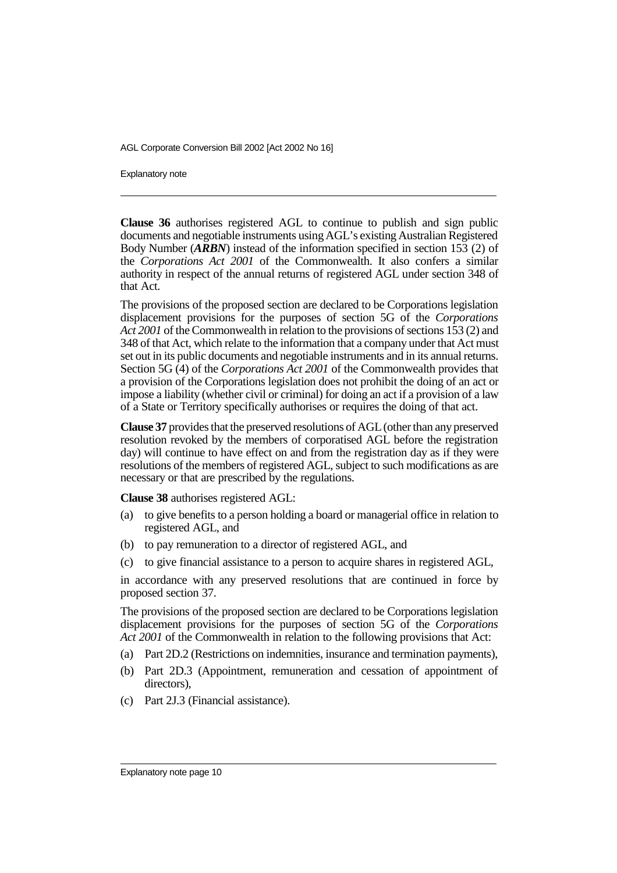Explanatory note

**Clause 36** authorises registered AGL to continue to publish and sign public documents and negotiable instruments using AGL's existing Australian Registered Body Number (*ARBN*) instead of the information specified in section 153 (2) of the *Corporations Act 2001* of the Commonwealth. It also confers a similar authority in respect of the annual returns of registered AGL under section 348 of that Act.

The provisions of the proposed section are declared to be Corporations legislation displacement provisions for the purposes of section 5G of the *Corporations Act 2001* of the Commonwealth in relation to the provisions of sections 153 (2) and 348 of that Act, which relate to the information that a company under that Act must set out in its public documents and negotiable instruments and in its annual returns. Section 5G (4) of the *Corporations Act 2001* of the Commonwealth provides that a provision of the Corporations legislation does not prohibit the doing of an act or impose a liability (whether civil or criminal) for doing an act if a provision of a law of a State or Territory specifically authorises or requires the doing of that act.

**Clause 37** provides that the preserved resolutions of AGL (other than any preserved resolution revoked by the members of corporatised AGL before the registration day) will continue to have effect on and from the registration day as if they were resolutions of the members of registered AGL, subject to such modifications as are necessary or that are prescribed by the regulations.

**Clause 38** authorises registered AGL:

- (a) to give benefits to a person holding a board or managerial office in relation to registered AGL, and
- (b) to pay remuneration to a director of registered AGL, and
- (c) to give financial assistance to a person to acquire shares in registered AGL,

in accordance with any preserved resolutions that are continued in force by proposed section 37.

The provisions of the proposed section are declared to be Corporations legislation displacement provisions for the purposes of section 5G of the *Corporations Act 2001* of the Commonwealth in relation to the following provisions that Act:

- (a) Part 2D.2 (Restrictions on indemnities, insurance and termination payments),
- (b) Part 2D.3 (Appointment, remuneration and cessation of appointment of directors),
- (c) Part 2J.3 (Financial assistance).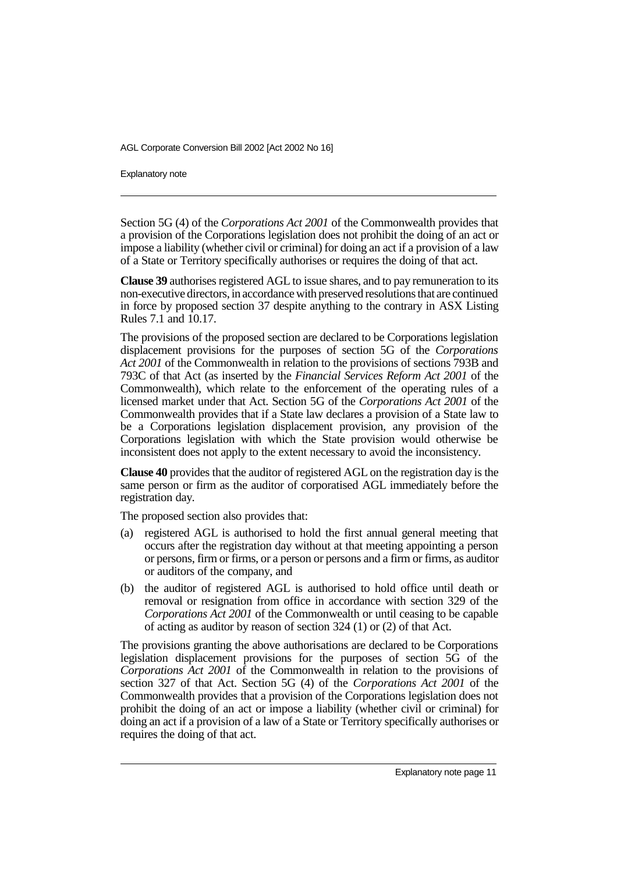Explanatory note

Section 5G (4) of the *Corporations Act 2001* of the Commonwealth provides that a provision of the Corporations legislation does not prohibit the doing of an act or impose a liability (whether civil or criminal) for doing an act if a provision of a law of a State or Territory specifically authorises or requires the doing of that act.

**Clause 39** authorises registered AGL to issue shares, and to pay remuneration to its non-executive directors, in accordance with preserved resolutions that are continued in force by proposed section 37 despite anything to the contrary in ASX Listing Rules 7.1 and 10.17.

The provisions of the proposed section are declared to be Corporations legislation displacement provisions for the purposes of section 5G of the *Corporations Act 2001* of the Commonwealth in relation to the provisions of sections 793B and 793C of that Act (as inserted by the *Financial Services Reform Act 2001* of the Commonwealth), which relate to the enforcement of the operating rules of a licensed market under that Act. Section 5G of the *Corporations Act 2001* of the Commonwealth provides that if a State law declares a provision of a State law to be a Corporations legislation displacement provision, any provision of the Corporations legislation with which the State provision would otherwise be inconsistent does not apply to the extent necessary to avoid the inconsistency.

**Clause 40** provides that the auditor of registered AGL on the registration day is the same person or firm as the auditor of corporatised AGL immediately before the registration day.

The proposed section also provides that:

- (a) registered AGL is authorised to hold the first annual general meeting that occurs after the registration day without at that meeting appointing a person or persons, firm or firms, or a person or persons and a firm or firms, as auditor or auditors of the company, and
- (b) the auditor of registered AGL is authorised to hold office until death or removal or resignation from office in accordance with section 329 of the *Corporations Act 2001* of the Commonwealth or until ceasing to be capable of acting as auditor by reason of section 324 (1) or (2) of that Act.

The provisions granting the above authorisations are declared to be Corporations legislation displacement provisions for the purposes of section 5G of the *Corporations Act 2001* of the Commonwealth in relation to the provisions of section 327 of that Act. Section 5G (4) of the *Corporations Act 2001* of the Commonwealth provides that a provision of the Corporations legislation does not prohibit the doing of an act or impose a liability (whether civil or criminal) for doing an act if a provision of a law of a State or Territory specifically authorises or requires the doing of that act.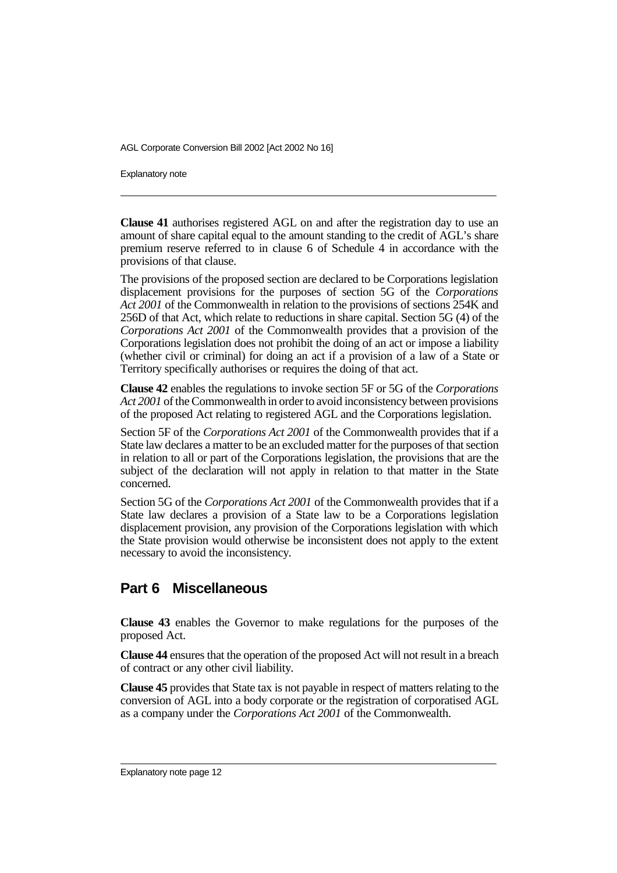Explanatory note

**Clause 41** authorises registered AGL on and after the registration day to use an amount of share capital equal to the amount standing to the credit of AGL's share premium reserve referred to in clause 6 of Schedule 4 in accordance with the provisions of that clause.

The provisions of the proposed section are declared to be Corporations legislation displacement provisions for the purposes of section 5G of the *Corporations Act 2001* of the Commonwealth in relation to the provisions of sections 254K and 256D of that Act, which relate to reductions in share capital. Section 5G (4) of the *Corporations Act 2001* of the Commonwealth provides that a provision of the Corporations legislation does not prohibit the doing of an act or impose a liability (whether civil or criminal) for doing an act if a provision of a law of a State or Territory specifically authorises or requires the doing of that act.

**Clause 42** enables the regulations to invoke section 5F or 5G of the *Corporations Act 2001* of the Commonwealth in order to avoid inconsistency between provisions of the proposed Act relating to registered AGL and the Corporations legislation.

Section 5F of the *Corporations Act 2001* of the Commonwealth provides that if a State law declares a matter to be an excluded matter for the purposes of that section in relation to all or part of the Corporations legislation, the provisions that are the subject of the declaration will not apply in relation to that matter in the State concerned.

Section 5G of the *Corporations Act 2001* of the Commonwealth provides that if a State law declares a provision of a State law to be a Corporations legislation displacement provision, any provision of the Corporations legislation with which the State provision would otherwise be inconsistent does not apply to the extent necessary to avoid the inconsistency.

## **Part 6 Miscellaneous**

**Clause 43** enables the Governor to make regulations for the purposes of the proposed Act.

**Clause 44** ensures that the operation of the proposed Act will not result in a breach of contract or any other civil liability.

**Clause 45** provides that State tax is not payable in respect of matters relating to the conversion of AGL into a body corporate or the registration of corporatised AGL as a company under the *Corporations Act 2001* of the Commonwealth.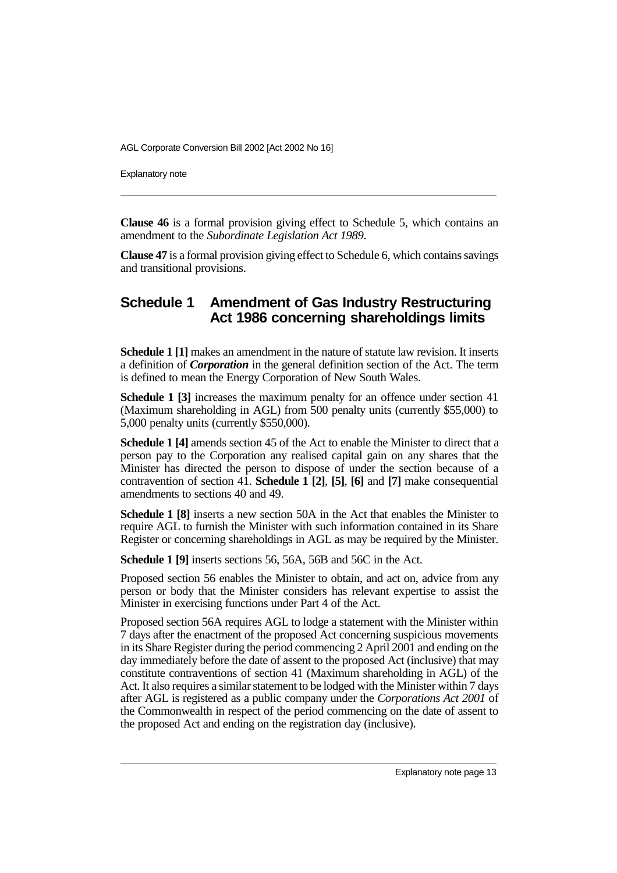Explanatory note

**Clause 46** is a formal provision giving effect to Schedule 5, which contains an amendment to the *Subordinate Legislation Act 1989*.

**Clause 47** is a formal provision giving effect to Schedule 6, which contains savings and transitional provisions.

# **Schedule 1 Amendment of Gas Industry Restructuring Act 1986 concerning shareholdings limits**

**Schedule 1 [1]** makes an amendment in the nature of statute law revision. It inserts a definition of *Corporation* in the general definition section of the Act. The term is defined to mean the Energy Corporation of New South Wales.

**Schedule 1 [3]** increases the maximum penalty for an offence under section 41 (Maximum shareholding in AGL) from 500 penalty units (currently \$55,000) to 5,000 penalty units (currently \$550,000).

**Schedule 1 [4]** amends section 45 of the Act to enable the Minister to direct that a person pay to the Corporation any realised capital gain on any shares that the Minister has directed the person to dispose of under the section because of a contravention of section 41. **Schedule 1 [2]**, **[5]**, **[6]** and **[7]** make consequential amendments to sections 40 and 49.

**Schedule 1 [8]** inserts a new section 50A in the Act that enables the Minister to require AGL to furnish the Minister with such information contained in its Share Register or concerning shareholdings in AGL as may be required by the Minister.

**Schedule 1 [9]** inserts sections 56, 56A, 56B and 56C in the Act.

Proposed section 56 enables the Minister to obtain, and act on, advice from any person or body that the Minister considers has relevant expertise to assist the Minister in exercising functions under Part 4 of the Act.

Proposed section 56A requires AGL to lodge a statement with the Minister within 7 days after the enactment of the proposed Act concerning suspicious movements in its Share Register during the period commencing 2 April 2001 and ending on the day immediately before the date of assent to the proposed Act (inclusive) that may constitute contraventions of section 41 (Maximum shareholding in AGL) of the Act. It also requires a similar statement to be lodged with the Minister within 7 days after AGL is registered as a public company under the *Corporations Act 2001* of the Commonwealth in respect of the period commencing on the date of assent to the proposed Act and ending on the registration day (inclusive).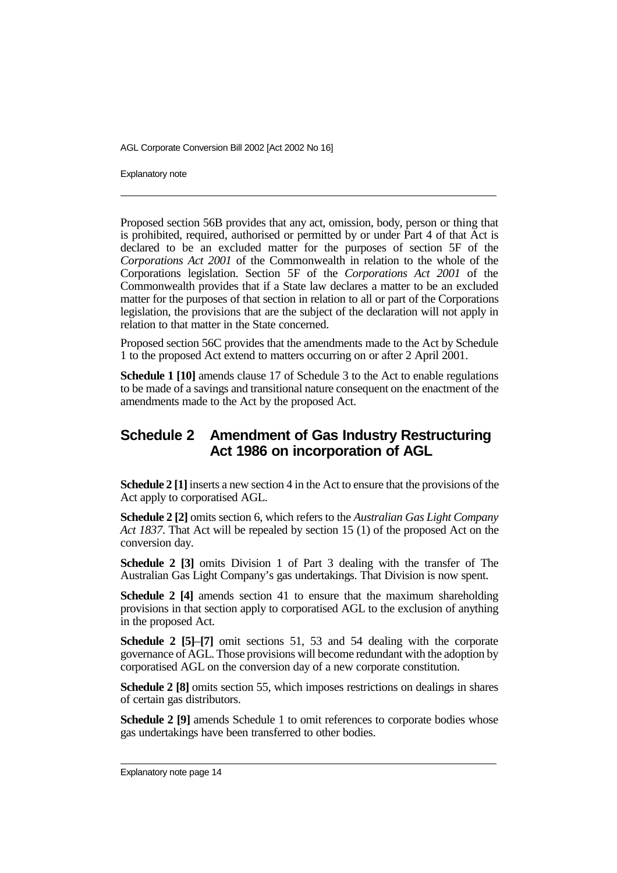Explanatory note

Proposed section 56B provides that any act, omission, body, person or thing that is prohibited, required, authorised or permitted by or under Part 4 of that Act is declared to be an excluded matter for the purposes of section 5F of the *Corporations Act 2001* of the Commonwealth in relation to the whole of the Corporations legislation. Section 5F of the *Corporations Act 2001* of the Commonwealth provides that if a State law declares a matter to be an excluded matter for the purposes of that section in relation to all or part of the Corporations legislation, the provisions that are the subject of the declaration will not apply in relation to that matter in the State concerned.

Proposed section 56C provides that the amendments made to the Act by Schedule 1 to the proposed Act extend to matters occurring on or after 2 April 2001.

**Schedule 1 [10]** amends clause 17 of Schedule 3 to the Act to enable regulations to be made of a savings and transitional nature consequent on the enactment of the amendments made to the Act by the proposed Act.

# **Schedule 2 Amendment of Gas Industry Restructuring Act 1986 on incorporation of AGL**

**Schedule 2 [1]**inserts a new section 4 in the Act to ensure that the provisions of the Act apply to corporatised AGL.

**Schedule 2 [2]** omits section 6, which refers to the *Australian Gas Light Company Act 1837*. That Act will be repealed by section 15 (1) of the proposed Act on the conversion day.

**Schedule 2 [3]** omits Division 1 of Part 3 dealing with the transfer of The Australian Gas Light Company's gas undertakings. That Division is now spent.

**Schedule 2 [4]** amends section 41 to ensure that the maximum shareholding provisions in that section apply to corporatised AGL to the exclusion of anything in the proposed Act.

**Schedule 2 [5]**–**[7]** omit sections 51, 53 and 54 dealing with the corporate governance of AGL. Those provisions will become redundant with the adoption by corporatised AGL on the conversion day of a new corporate constitution.

**Schedule 2 [8]** omits section 55, which imposes restrictions on dealings in shares of certain gas distributors.

**Schedule 2 [9]** amends Schedule 1 to omit references to corporate bodies whose gas undertakings have been transferred to other bodies.

Explanatory note page 14